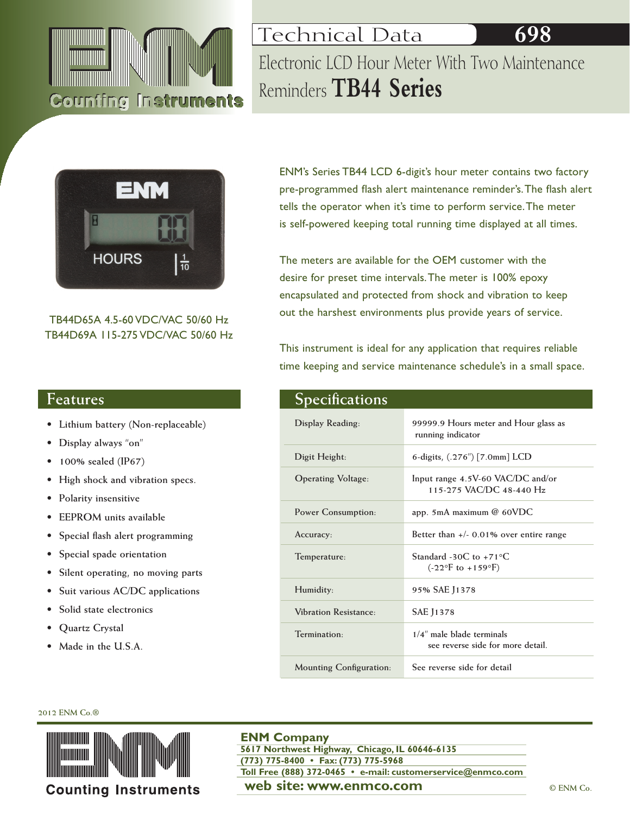

Technical Data **698** Electronic LCD Hour Meter With Two Maintenance Reminders **TB44 Series**



TB44D65A 4.5-60 VDC/VAC 50/60 Hz TB44D69A 115-275 VDC/VAC 50/60 Hz

# **Features**

- **• Lithium battery (Non-replaceable)**
- **• Display always "on"**
- **• 100% sealed (IP67)**
- **• High shock and vibration specs.**
- **• Polarity insensitive**
- **• EEPROM units available**
- **• Special flash alert programming**
- **• Special spade orientation**
- **• Silent operating, no moving parts**
- **• Suit various AC/DC applications**
- **• Solid state electronics**
- **• Quartz Crystal**
- **• Made in the U.S.A.**

ENM's Series TB44 LCD 6-digit's hour meter contains two factory pre-programmed flash alert maintenance reminder's. The flash alert tells the operator when it's time to perform service. The meter is self-powered keeping total running time displayed at all times.

The meters are available for the OEM customer with the desire for preset time intervals. The meter is 100% epoxy encapsulated and protected from shock and vibration to keep out the harshest environments plus provide years of service.

This instrument is ideal for any application that requires reliable time keeping and service maintenance schedule's in a small space.

| <b>Specifications</b>          |                                                                                |
|--------------------------------|--------------------------------------------------------------------------------|
| Display Reading:               | 99999.9 Hours meter and Hour glass as<br>running indicator                     |
| Digit Height:                  | 6-digits, $(.276'')$ [7.0mm] LCD                                               |
| <b>Operating Voltage:</b>      | Input range 4.5V-60 VAC/DC and/or<br>115-275 VAC/DC 48-440 Hz                  |
| Power Consumption:             | app. 5mA maximum $@$ 60VDC                                                     |
| Accuracy:                      | Better than $+/-$ 0.01% over entire range                                      |
| Temperature:                   | Standard -30C to +71 $\degree$ C<br>$(-22^{\circ}F \text{ to } +159^{\circ}F)$ |
| Humidity:                      | 95% SAE J1378                                                                  |
| Vibration Resistance:          | <b>SAE 11378</b>                                                               |
| Termination <sub>1</sub>       | $1/4$ " male blade terminals<br>see reverse side for more detail.              |
| <b>Mounting Configuration:</b> | See reverse side for detail                                                    |

### **2012 ENM Co.®**



## **ENM Company**

**web site: www.enmco.com**  $\bullet$  **CENM Co. 5617 Northwest Highway, Chicago, IL 60646-6135 (773) 775-8400 • Fax: (773) 775-5968 Toll Free (888) 372-0465 • e-mail: customerservice@enmco.com**